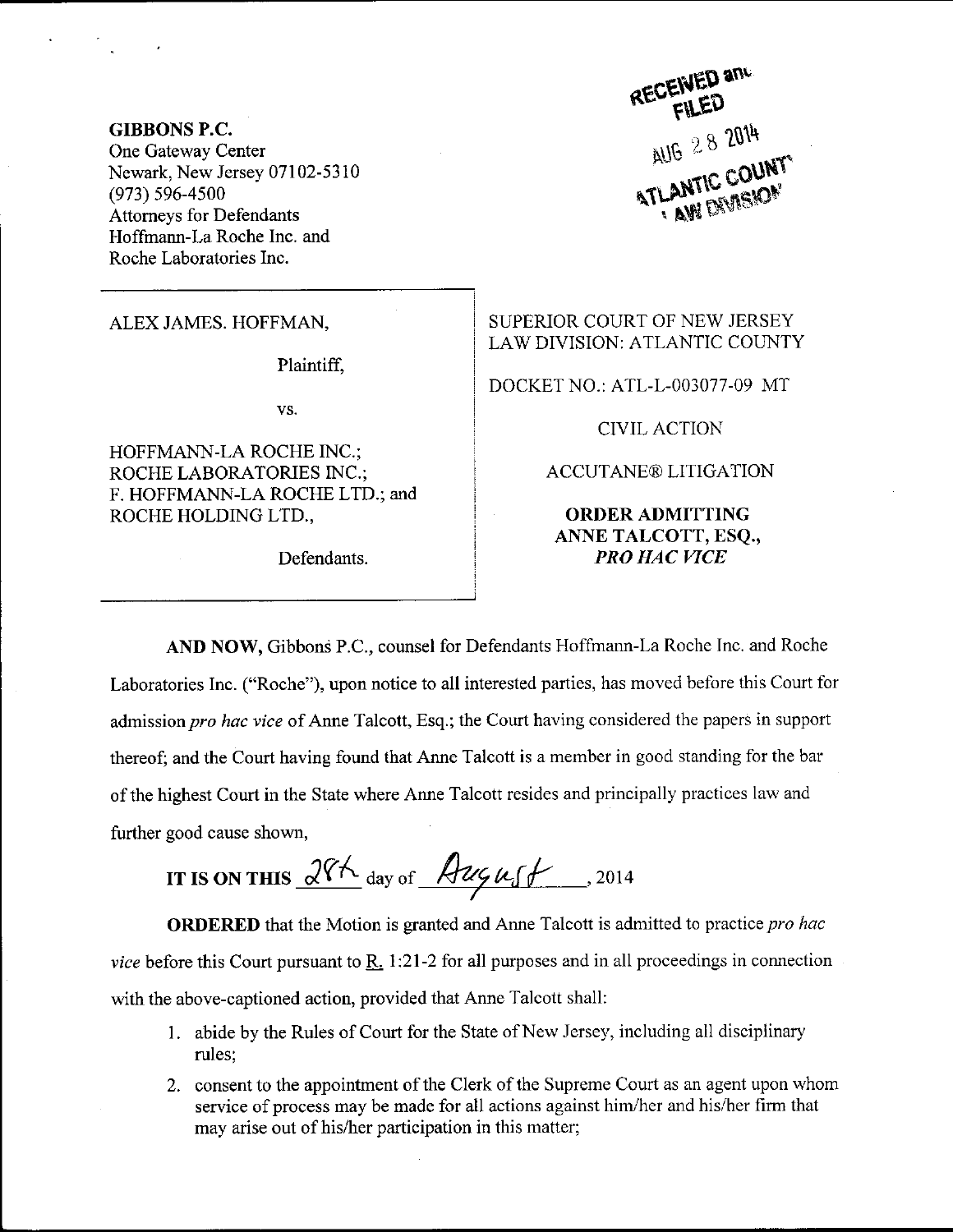GIBBONS P,C. One Gateway Center Newark, New Jersey 07102-53 i0 (973) 596-4500 Attomeys for Defendants Hoffmann-La Roche Inc. and Roche Laboratories Inc.

Plaintifi

vs.

HOFFMANN-LA ROCHE INC.; ROCHE LABORATORIES INC.; F. HOFFMANN-LA ROCHE LTD.; and ROCHE HOLDING LTD.,

Defendants.

RECEIVED and **ATLANTIC COUNT** 

ALEX JAMES. HOFFMAN, SUPERIOR COURT OF NEW JERSEY I,AW DIVISION: ATLANTIC COUNTY

DOCKET NO.: ATL-L-003077-09 MT

CIVIL ACTION

ACCUTANE® LITIGATION

ORDERADMITTING ANNE TALCOTT, ESQ., PRO HAC VICE

AND NOW, Gibbons P.C., counsel for Defendants Hoffmann-La Roche Inc. and Roche Laboratories Inc. ("Roche"), upon notice to all interested parties, has moved before this Court for admission pro hac vice of Anne Talcott, Esq.; the Court having considered the papers in support thereof; and the Court having found that Anne Talcott is a member in good standing for the bar of the highest Court in the State where Anne Talcott resides and principally practices law and further good cause shown,

IT IS ON THIS  $\sqrt{2\pi}$  day of  $\sqrt{2\pi/4}$ , 2014

**ORDERED** that the Motion is granted and Anne Talcott is admitted to practice pro hac vice before this Court pursuant to  $\underline{R}$ , 1:21-2 for all purposes and in all proceedings in connection with the above-captioned action, provided that Anne Talcott shall:

- 1. abide by the Rules of Court for the State of New Jersey, including all disciplinary rules:
- 2. consent to the appointment of the Clerk of the Supreme Court as an agent upon whom service of process may be made for all actions against him/her and his/her firm that may arise out of his/her participation in this matter;